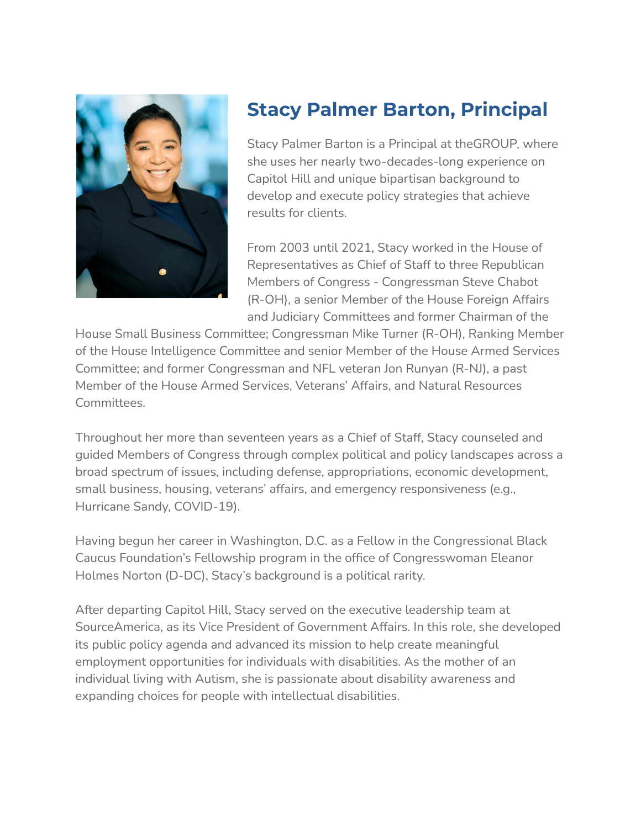

## **Stacy Palmer Barton, Principal**

Stacy Palmer Barton is a Principal at theGROUP, where she uses her nearly two-decades-long experience on Capitol Hill and unique bipartisan background to develop and execute policy strategies that achieve results for clients.

From 2003 until 2021, Stacy worked in the House of Representatives as Chief of Staff to three Republican Members of Congress - Congressman Steve Chabot (R-OH), a senior Member of the House Foreign Affairs and Judiciary Committees and former Chairman of the

House Small Business Committee; Congressman Mike Turner (R-OH), Ranking Member of the House Intelligence Committee and senior Member of the House Armed Services Committee; and former Congressman and NFL veteran Jon Runyan (R-NJ), a past Member of the House Armed Services, Veterans' Affairs, and Natural Resources Committees.

Throughout her more than seventeen years as a Chief of Staff, Stacy counseled and guided Members of Congress through complex political and policy landscapes across a broad spectrum of issues, including defense, appropriations, economic development, small business, housing, veterans' affairs, and emergency responsiveness (e.g., Hurricane Sandy, COVID-19).

Having begun her career in Washington, D.C. as a Fellow in the Congressional Black Caucus Foundation's Fellowship program in the office of Congresswoman Eleanor Holmes Norton (D-DC), Stacy's background is a political rarity.

After departing Capitol Hill, Stacy served on the executive leadership team at SourceAmerica, as its Vice President of Government Affairs. In this role, she developed its public policy agenda and advanced its mission to help create meaningful employment opportunities for individuals with disabilities. As the mother of an individual living with Autism, she is passionate about disability awareness and expanding choices for people with intellectual disabilities.